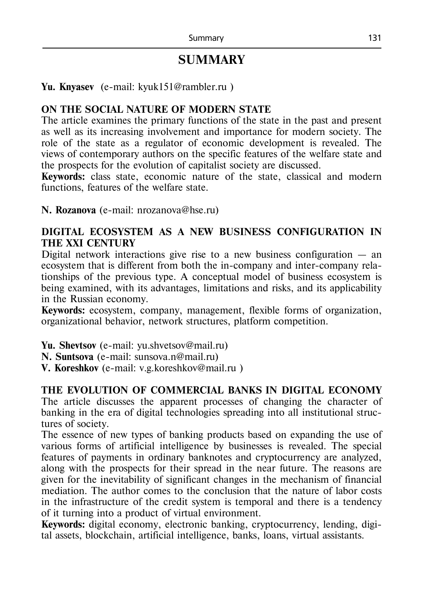# **SUMMARY**

### **Yu. Knyasev** (e-mail: kyuk151@rambler.ru )

### **ON THE SOCIAL NATURE OF MODERN STATE**

The article examines the primary functions of the state in the past and present as well as its increasing involvement and importance for modern society. The role of the state as a regulator of economic development is revealed. The views of contemporary authors on the specific features of the welfare state and the prospects for the evolution of capitalist society are discussed.

**Keywords:** class state, economic nature of the state, classical and modern functions, features of the welfare state.

**N. Rozanova** (е-mail: nrozanova@hse.ru)

### **DIGITAL ECOSYSTEM AS A NEW BUSINESS CONFIGURATION IN THE XXI CENTURY**

Digital network interactions give rise to a new business configuration  $-$  an ecosystem that is different from both the in-company and inter-company relationships of the previous type. A conceptual model of business ecosystem is being examined, with its advantages, limitations and risks, and its applicability in the Russian economy.

**Keywords:** ecosystem, company, management, flexible forms of organization, organizational behavior, network structures, platform competition.

**Yu. Shevtsov** (е-mail: yu.shvetsov@mail.ru)

**N. Suntsova** (е-mail: sunsova.n@mail.ru)

**V. Koreshkov** (е-mail: v.g.koreshkov@mail.ru )

## **THE EVOLUTION OF COMMERCIAL BANKS IN DIGITAL ECONOMY**

The article discusses the apparent processes of changing the character of banking in the era of digital technologies spreading into all institutional structures of society.

The essence of new types of banking products based on expanding the use of various forms of artificial intelligence by businesses is revealed. The special features of payments in ordinary banknotes and cryptocurrency are analyzed, along with the prospects for their spread in the near future. The reasons are given for the inevitability of significant changes in the mechanism of financial mediation. The author comes to the conclusion that the nature of labor costs in the infrastructure of the credit system is temporal and there is a tendency of it turning into a product of virtual environment.

**Keywords:** digital economy, electronic banking, cryptocurrency, lending, digital assets, blockchain, artificial intelligence, banks, loans, virtual assistants.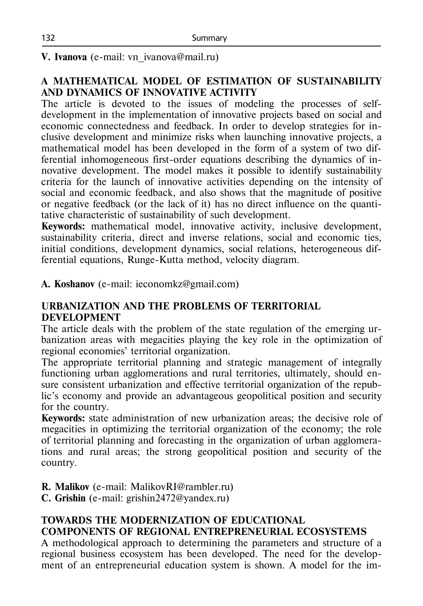**V. Ivanova** (e-mail: vn ivanova@mail.ru)

### **А MATHEMATICAL MODEL OF ESTIMATION OF SUSTAINABILITY AND DYNAMICS OF INNOVATIVE ACTIVITY**

The article is devoted to the issues of modeling the processes of selfdevelopment in the implementation of innovative projects based on social and economic connectedness and feedback. In order to develop strategies for inclusive development and minimize risks when launching innovative projects, a mathematical model has been developed in the form of a system of two differential inhomogeneous first-order equations describing the dynamics of innovative development. The model makes it possible to identify sustainability criteria for the launch of innovative activities depending on the intensity of social and economic feedback, and also shows that the magnitude of positive or negative feedback (or the lack of it) has no direct influence on the quantitative characteristic of sustainability of such development.

**Keywords:** mathematical model, innovative activity, inclusive development, sustainability criteria, direct and inverse relations, social and economic ties, initial conditions, development dynamics, social relations, heterogeneous differential equations, Runge-Kutta method, velocity diagram.

**A. Koshanov** (e-mail: ieconomkz@gmail.com)

### **URBANIZATION AND THE PROBLEMS OF TERRITORIAL DEVELOPMENT**

The article deals with the problem of the state regulation of the emerging urbanization areas with megacities playing the key role in the optimization of regional economies' territorial organization.

The appropriate territorial planning and strategic management of integrally functioning urban agglomerations and rural territories, ultimately, should ensure consistent urbanization and effective territorial organization of the republic's economy and provide an advantageous geopolitical position and security for the country.

**Keywords:** state administration of new urbanization areas; the decisive role of megacities in optimizing the territorial organization of the economy; the role of territorial planning and forecasting in the organization of urban agglomerations and rural areas; the strong geopolitical position and security of the country.

**R. Malikov** (e-mail: [MalikovRI@rambler.ru\)](mailto:MalikovRI@rambler.ru)

**C. Grishin** (e-mail: grishin2472@yandex.ru)

### **TOWARDS THE MODERNIZATION OF EDUCATIONAL COMPONENTS OF REGIONAL ENTREPRENEURIAL ECOSYSTEMS**

A methodological approach to determining the parameters and structure of a regional business ecosystem has been developed. The need for the development of an entrepreneurial education system is shown. A model for the im